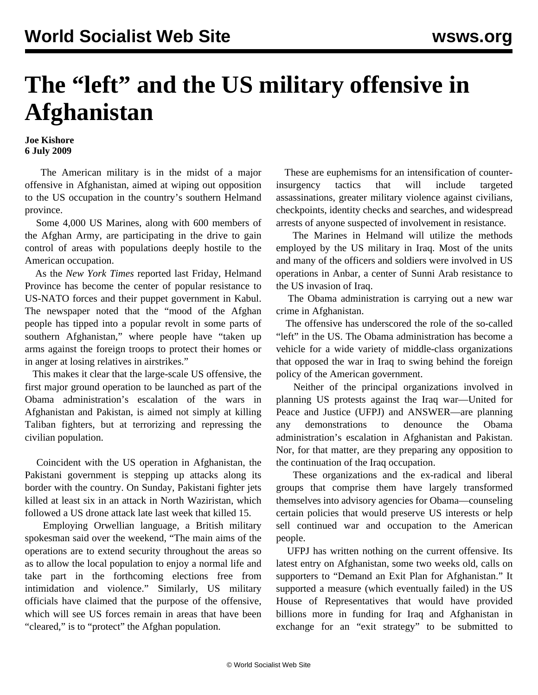## **The "left" and the US military offensive in Afghanistan**

## **Joe Kishore 6 July 2009**

 The American military is in the midst of a major offensive in Afghanistan, aimed at wiping out opposition to the US occupation in the country's southern Helmand province.

 Some 4,000 US Marines, along with 600 members of the Afghan Army, are participating in the drive to gain control of areas with populations deeply hostile to the American occupation.

 As the *New York Times* reported last Friday, Helmand Province has become the center of popular resistance to US-NATO forces and their puppet government in Kabul. The newspaper noted that the "mood of the Afghan people has tipped into a popular revolt in some parts of southern Afghanistan," where people have "taken up arms against the foreign troops to protect their homes or in anger at losing relatives in airstrikes."

 This makes it clear that the large-scale US offensive, the first major ground operation to be launched as part of the Obama administration's escalation of the wars in Afghanistan and Pakistan, is aimed not simply at killing Taliban fighters, but at terrorizing and repressing the civilian population.

 Coincident with the US operation in Afghanistan, the Pakistani government is stepping up attacks along its border with the country. On Sunday, Pakistani fighter jets killed at least six in an attack in North Waziristan, which followed a US drone attack late last week that killed 15.

 Employing Orwellian language, a British military spokesman said over the weekend, "The main aims of the operations are to extend security throughout the areas so as to allow the local population to enjoy a normal life and take part in the forthcoming elections free from intimidation and violence." Similarly, US military officials have claimed that the purpose of the offensive, which will see US forces remain in areas that have been "cleared," is to "protect" the Afghan population.

 These are euphemisms for an intensification of counterinsurgency tactics that will include targeted assassinations, greater military violence against civilians, checkpoints, identity checks and searches, and widespread arrests of anyone suspected of involvement in resistance.

 The Marines in Helmand will utilize the methods employed by the US military in Iraq. Most of the units and many of the officers and soldiers were involved in US operations in Anbar, a center of Sunni Arab resistance to the US invasion of Iraq.

 The Obama administration is carrying out a new war crime in Afghanistan.

 The offensive has underscored the role of the so-called "left" in the US. The Obama administration has become a vehicle for a wide variety of middle-class organizations that opposed the war in Iraq to swing behind the foreign policy of the American government.

 Neither of the principal organizations involved in planning US protests against the Iraq war—United for Peace and Justice (UFPJ) and ANSWER—are planning any demonstrations to denounce the Obama administration's escalation in Afghanistan and Pakistan. Nor, for that matter, are they preparing any opposition to the continuation of the Iraq occupation.

 These organizations and the ex-radical and liberal groups that comprise them have largely transformed themselves into advisory agencies for Obama—counseling certain policies that would preserve US interests or help sell continued war and occupation to the American people.

 UFPJ has written nothing on the current offensive. Its latest entry on Afghanistan, some two weeks old, calls on supporters to "Demand an Exit Plan for Afghanistan." It supported a measure (which eventually failed) in the US House of Representatives that would have provided billions more in funding for Iraq and Afghanistan in exchange for an "exit strategy" to be submitted to